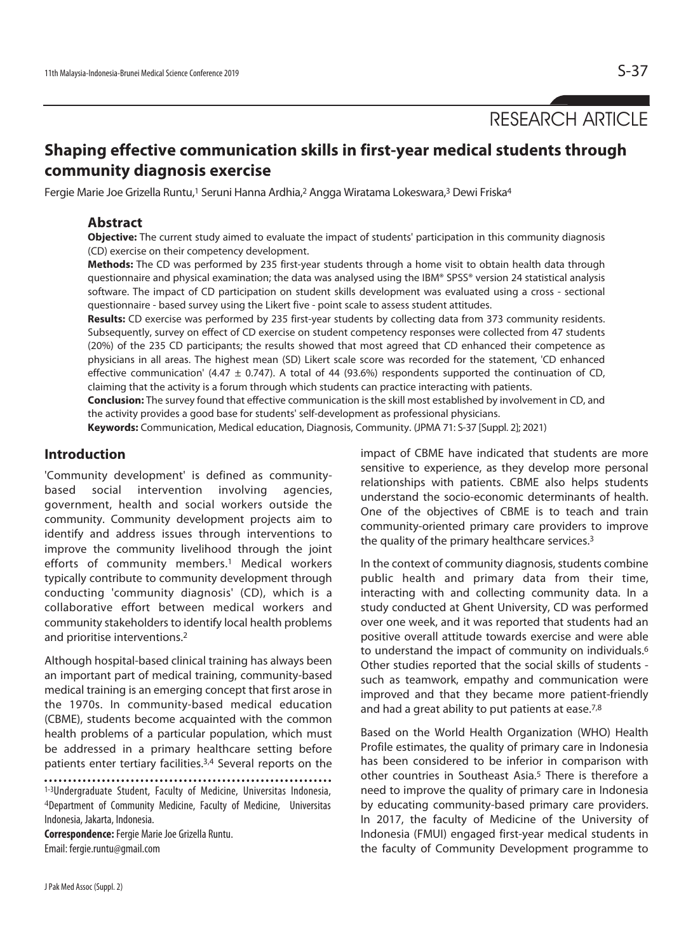RESEARCH ARTICLE

# **Shaping effective communication skills in first-year medical students through community diagnosis exercise**

Fergie Marie Joe Grizella Runtu,<sup>1</sup> Seruni Hanna Ardhia,<sup>2</sup> Angga Wiratama Lokeswara,<sup>3</sup> Dewi Friska<sup>4</sup>

### **Abstract**

**Objective:** The current study aimed to evaluate the impact of students' participation in this community diagnosis (CD) exercise on their competency development.

**Methods:** The CD was performed by 235 first-year students through a home visit to obtain health data through questionnaire and physical examination; the data was analysed using the IBM® SPSS® version 24 statistical analysis software. The impact of CD participation on student skills development was evaluated using a cross - sectional questionnaire - based survey using the Likert five - point scale to assess student attitudes.

**Results:** CD exercise was performed by 235 first-year students by collecting data from 373 community residents. Subsequently, survey on effect of CD exercise on student competency responses were collected from 47 students (20%) of the 235 CD participants; the results showed that most agreed that CD enhanced their competence as physicians in all areas. The highest mean (SD) Likert scale score was recorded for the statement, 'CD enhanced effective communication' (4.47  $\pm$  0.747). A total of 44 (93.6%) respondents supported the continuation of CD, claiming that the activity is a forum through which students can practice interacting with patients.

**Conclusion:** The survey found that effective communication is the skill most established by involvement in CD, and the activity provides a good base for students' self-development as professional physicians.

**Keywords:** Communication, Medical education, Diagnosis, Community. (JPMA 71: S-37 [Suppl. 2]; 2021)

## **Introduction**

'Community development' is defined as communitybased social intervention involving agencies, government, health and social workers outside the community. Community development projects aim to identify and address issues through interventions to improve the community livelihood through the joint efforts of community members.1 Medical workers typically contribute to community development through conducting 'community diagnosis' (CD), which is a collaborative effort between medical workers and community stakeholders to identify local health problems and prioritise interventions.2

Although hospital-based clinical training has always been an important part of medical training, community-based medical training is an emerging concept that first arose in the 1970s. In community-based medical education (CBME), students become acquainted with the common health problems of a particular population, which must be addressed in a primary healthcare setting before patients enter tertiary facilities.3,4 Several reports on the

1-3Undergraduate Student, Faculty of Medicine, Universitas Indonesia, <sup>4</sup>Department of Community Medicine, Faculty of Medicine, Universitas Indonesia, Jakarta, Indonesia.

**Correspondence:** Fergie Marie Joe Grizella Runtu. Email: fergie.runtu@gmail.com

impact of CBME have indicated that students are more sensitive to experience, as they develop more personal relationships with patients. CBME also helps students understand the socio-economic determinants of health. One of the objectives of CBME is to teach and train community-oriented primary care providers to improve the quality of the primary healthcare services.3

In the context of community diagnosis, students combine public health and primary data from their time, interacting with and collecting community data. In a study conducted at Ghent University, CD was performed over one week, and it was reported that students had an positive overall attitude towards exercise and were able to understand the impact of community on individuals.6 Other studies reported that the social skills of students such as teamwork, empathy and communication were improved and that they became more patient-friendly and had a great ability to put patients at ease.7,8

Based on the World Health Organization (WHO) Health Profile estimates, the quality of primary care in Indonesia has been considered to be inferior in comparison with other countries in Southeast Asia.<sup>5</sup> There is therefore a need to improve the quality of primary care in Indonesia by educating community-based primary care providers. In 2017, the faculty of Medicine of the University of Indonesia (FMUI) engaged first-year medical students in the faculty of Community Development programme to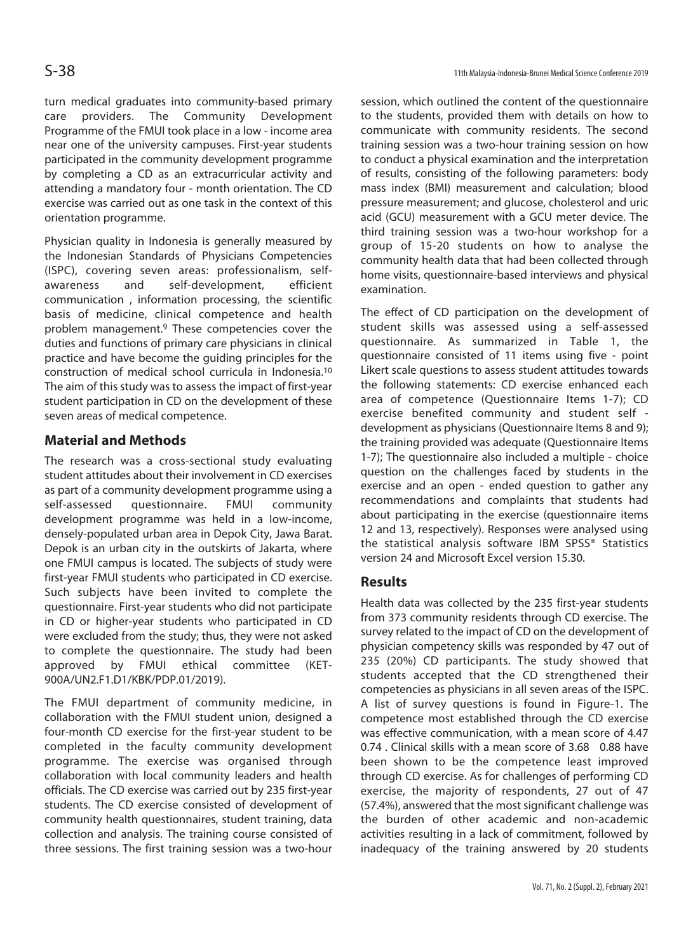turn medical graduates into community-based primary care providers. The Community Development Programme of the FMUI took place in a low - income area near one of the university campuses. First-year students participated in the community development programme by completing a CD as an extracurricular activity and attending a mandatory four - month orientation. The CD exercise was carried out as one task in the context of this orientation programme.

Physician quality in Indonesia is generally measured by the Indonesian Standards of Physicians Competencies (ISPC), covering seven areas: professionalism, selfawareness and self-development, efficient communication , information processing, the scientific basis of medicine, clinical competence and health problem management.9 These competencies cover the duties and functions of primary care physicians in clinical practice and have become the guiding principles for the construction of medical school curricula in Indonesia.10 The aim of this study was to assess the impact of first-year student participation in CD on the development of these seven areas of medical competence.

## **Material and Methods**

The research was a cross-sectional study evaluating student attitudes about their involvement in CD exercises as part of a community development programme using a self-assessed questionnaire. FMUI community development programme was held in a low-income, densely-populated urban area in Depok City, Jawa Barat. Depok is an urban city in the outskirts of Jakarta, where one FMUI campus is located. The subjects of study were first-year FMUI students who participated in CD exercise. Such subjects have been invited to complete the questionnaire. First-year students who did not participate in CD or higher-year students who participated in CD were excluded from the study; thus, they were not asked to complete the questionnaire. The study had been approved by FMUI ethical committee (KET-900A/UN2.F1.D1/KBK/PDP.01/2019).

The FMUI department of community medicine, in collaboration with the FMUI student union, designed a four-month CD exercise for the first-year student to be completed in the faculty community development programme. The exercise was organised through collaboration with local community leaders and health officials. The CD exercise was carried out by 235 first-year students. The CD exercise consisted of development of community health questionnaires, student training, data collection and analysis. The training course consisted of three sessions. The first training session was a two-hour

session, which outlined the content of the questionnaire to the students, provided them with details on how to communicate with community residents. The second training session was a two-hour training session on how to conduct a physical examination and the interpretation of results, consisting of the following parameters: body mass index (BMI) measurement and calculation; blood pressure measurement; and glucose, cholesterol and uric acid (GCU) measurement with a GCU meter device. The third training session was a two-hour workshop for a group of 15-20 students on how to analyse the community health data that had been collected through home visits, questionnaire-based interviews and physical examination.

The effect of CD participation on the development of student skills was assessed using a self-assessed questionnaire. As summarized in Table 1, the questionnaire consisted of 11 items using five - point Likert scale questions to assess student attitudes towards the following statements: CD exercise enhanced each area of competence (Questionnaire Items 1-7); CD exercise benefited community and student self development as physicians (Questionnaire Items 8 and 9); the training provided was adequate (Questionnaire Items 1-7); The questionnaire also included a multiple - choice question on the challenges faced by students in the exercise and an open - ended question to gather any recommendations and complaints that students had about participating in the exercise (questionnaire items 12 and 13, respectively). Responses were analysed using the statistical analysis software IBM SPSS® Statistics version 24 and Microsoft Excel version 15.30.

## **Results**

Health data was collected by the 235 first-year students from 373 community residents through CD exercise. The survey related to the impact of CD on the development of physician competency skills was responded by 47 out of 235 (20%) CD participants. The study showed that students accepted that the CD strengthened their competencies as physicians in all seven areas of the ISPC. A list of survey questions is found in Figure-1. The competence most established through the CD exercise was effective communication, with a mean score of 4.47 0.74 . Clinical skills with a mean score of 3.68 0.88 have been shown to be the competence least improved through CD exercise. As for challenges of performing CD exercise, the majority of respondents, 27 out of 47 (57.4%), answered that the most significant challenge was the burden of other academic and non-academic activities resulting in a lack of commitment, followed by inadequacy of the training answered by 20 students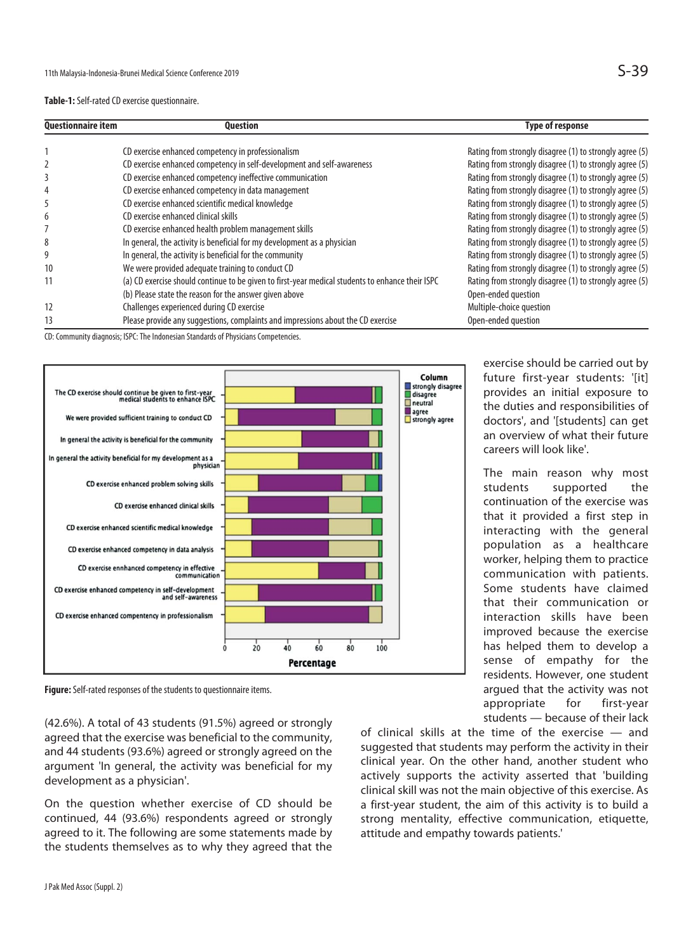#### **Table-1:** Self-rated CD exercise questionnaire.

| <b>Questionnaire item</b> | <b>Question</b>                                                                                  | <b>Type of response</b>                                 |
|---------------------------|--------------------------------------------------------------------------------------------------|---------------------------------------------------------|
|                           | CD exercise enhanced competency in professionalism                                               | Rating from strongly disagree (1) to strongly agree (5) |
|                           | CD exercise enhanced competency in self-development and self-awareness                           | Rating from strongly disagree (1) to strongly agree (5) |
|                           | CD exercise enhanced competency ineffective communication                                        | Rating from strongly disagree (1) to strongly agree (5) |
|                           | CD exercise enhanced competency in data management                                               | Rating from strongly disagree (1) to strongly agree (5) |
|                           | CD exercise enhanced scientific medical knowledge                                                | Rating from strongly disagree (1) to strongly agree (5) |
| 6                         | CD exercise enhanced clinical skills                                                             | Rating from strongly disagree (1) to strongly agree (5) |
|                           | CD exercise enhanced health problem management skills                                            | Rating from strongly disagree (1) to strongly agree (5) |
| 8                         | In general, the activity is beneficial for my development as a physician                         | Rating from strongly disagree (1) to strongly agree (5) |
| 9                         | In general, the activity is beneficial for the community                                         | Rating from strongly disagree (1) to strongly agree (5) |
| 10                        | We were provided adequate training to conduct CD                                                 | Rating from strongly disagree (1) to strongly agree (5) |
| 11                        | (a) CD exercise should continue to be given to first-year medical students to enhance their ISPC | Rating from strongly disagree (1) to strongly agree (5) |
|                           | (b) Please state the reason for the answer given above                                           | Open-ended question                                     |
| 12                        | Challenges experienced during CD exercise                                                        | Multiple-choice question                                |
| 13                        | Please provide any suggestions, complaints and impressions about the CD exercise                 | Open-ended question                                     |

CD: Community diagnosis; ISPC: The Indonesian Standards of Physicians Competencies.



**Figure:** Self-rated responses of the students to questionnaire items.

(42.6%). A total of 43 students (91.5%) agreed or strongly agreed that the exercise was beneficial to the community, and 44 students (93.6%) agreed or strongly agreed on the argument 'In general, the activity was beneficial for my development as a physician'.

On the question whether exercise of CD should be continued, 44 (93.6%) respondents agreed or strongly agreed to it. The following are some statements made by the students themselves as to why they agreed that the of clinical skills at the time of the exercise — and suggested that students may perform the activity in their clinical year. On the other hand, another student who actively supports the activity asserted that 'building clinical skill was not the main objective of this exercise. As a first-year student, the aim of this activity is to build a strong mentality, effective communication, etiquette, attitude and empathy towards patients.'

exercise should be carried out by future first-year students: '[it] provides an initial exposure to the duties and responsibilities of doctors', and '[students] can get an overview of what their future careers will look like'.

The main reason why most students supported the continuation of the exercise was that it provided a first step in interacting with the general population as a healthcare worker, helping them to practice communication with patients. Some students have claimed that their communication or interaction skills have been improved because the exercise has helped them to develop a sense of empathy for the residents. However, one student argued that the activity was not appropriate for first-year students — because of their lack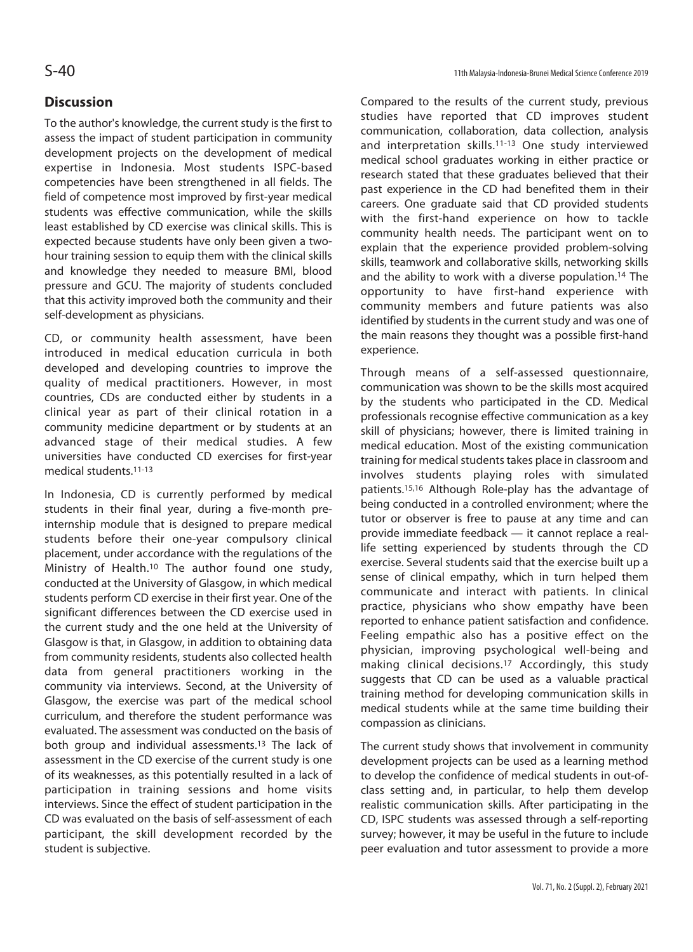## **Discussion**

To the author's knowledge, the current study is the first to assess the impact of student participation in community development projects on the development of medical expertise in Indonesia. Most students ISPC-based competencies have been strengthened in all fields. The field of competence most improved by first-year medical students was effective communication, while the skills least established by CD exercise was clinical skills. This is expected because students have only been given a twohour training session to equip them with the clinical skills and knowledge they needed to measure BMI, blood pressure and GCU. The majority of students concluded that this activity improved both the community and their self-development as physicians.

CD, or community health assessment, have been introduced in medical education curricula in both developed and developing countries to improve the quality of medical practitioners. However, in most countries, CDs are conducted either by students in a clinical year as part of their clinical rotation in a community medicine department or by students at an advanced stage of their medical studies. A few universities have conducted CD exercises for first-year medical students.11-13

In Indonesia, CD is currently performed by medical students in their final year, during a five-month preinternship module that is designed to prepare medical students before their one-year compulsory clinical placement, under accordance with the regulations of the Ministry of Health.10 The author found one study, conducted at the University of Glasgow, in which medical students perform CD exercise in their first year. One of the significant differences between the CD exercise used in the current study and the one held at the University of Glasgow is that, in Glasgow, in addition to obtaining data from community residents, students also collected health data from general practitioners working in the community via interviews. Second, at the University of Glasgow, the exercise was part of the medical school curriculum, and therefore the student performance was evaluated. The assessment was conducted on the basis of both group and individual assessments.13 The lack of assessment in the CD exercise of the current study is one of its weaknesses, as this potentially resulted in a lack of participation in training sessions and home visits interviews. Since the effect of student participation in the CD was evaluated on the basis of self-assessment of each participant, the skill development recorded by the student is subjective.

Compared to the results of the current study, previous studies have reported that CD improves student communication, collaboration, data collection, analysis and interpretation skills.11-13 One study interviewed medical school graduates working in either practice or research stated that these graduates believed that their past experience in the CD had benefited them in their careers. One graduate said that CD provided students with the first-hand experience on how to tackle community health needs. The participant went on to explain that the experience provided problem-solving skills, teamwork and collaborative skills, networking skills and the ability to work with a diverse population.14 The opportunity to have first-hand experience with community members and future patients was also identified by students in the current study and was one of the main reasons they thought was a possible first-hand experience.

Through means of a self-assessed questionnaire, communication was shown to be the skills most acquired by the students who participated in the CD. Medical professionals recognise effective communication as a key skill of physicians; however, there is limited training in medical education. Most of the existing communication training for medical students takes place in classroom and involves students playing roles with simulated patients.15,16 Although Role-play has the advantage of being conducted in a controlled environment; where the tutor or observer is free to pause at any time and can provide immediate feedback — it cannot replace a reallife setting experienced by students through the CD exercise. Several students said that the exercise built up a sense of clinical empathy, which in turn helped them communicate and interact with patients. In clinical practice, physicians who show empathy have been reported to enhance patient satisfaction and confidence. Feeling empathic also has a positive effect on the physician, improving psychological well-being and making clinical decisions.17 Accordingly, this study suggests that CD can be used as a valuable practical training method for developing communication skills in medical students while at the same time building their compassion as clinicians.

The current study shows that involvement in community development projects can be used as a learning method to develop the confidence of medical students in out-ofclass setting and, in particular, to help them develop realistic communication skills. After participating in the CD, ISPC students was assessed through a self-reporting survey; however, it may be useful in the future to include peer evaluation and tutor assessment to provide a more